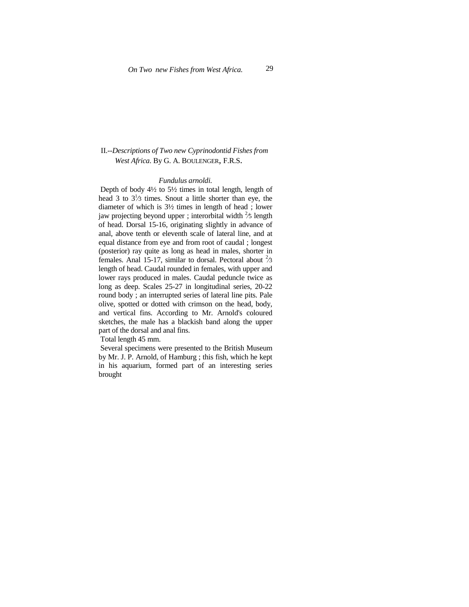## II.--*Descriptions of Two new Cyprinodontid Fishes from West Africa.* By G. A. BOULENGER, F.R.S.

## *Fundulus arnoldi.*

Depth of body  $4\frac{1}{2}$  to  $5\frac{1}{2}$  times in total length, length of head 3 to  $3\frac{1}{3}$  times. Snout a little shorter than eye, the diameter of which is 3½ times in length of head ; lower jaw projecting beyond upper ; interorbital width  $\frac{2}{5}$  length of head. Dorsal 15-16, originating slightly in advance of anal, above tenth or eleventh scale of lateral line, and at equal distance from eye and from root of caudal ; longest (posterior) ray quite as long as head in males, shorter in females. Anal 15-17, similar to dorsal. Pectoral about  ${}^{2}\!\!/\!3$ length of head. Caudal rounded in females, with upper and lower rays produced in males. Caudal peduncle twice as long as deep. Scales 25-27 in longitudinal series, 20-22 round body ; an interrupted series of lateral line pits. Pale olive, spotted or dotted with crimson on the head, body, and vertical fins. According to Mr. Arnold's coloured sketches, the male has a blackish band along the upper part of the dorsal and anal fins.

Total length 45 mm.

 Several specimens were presented to the British Museum by Mr. J. P. Arnold, of Hamburg ; this fish, which he kept in his aquarium, formed part of an interesting series brought